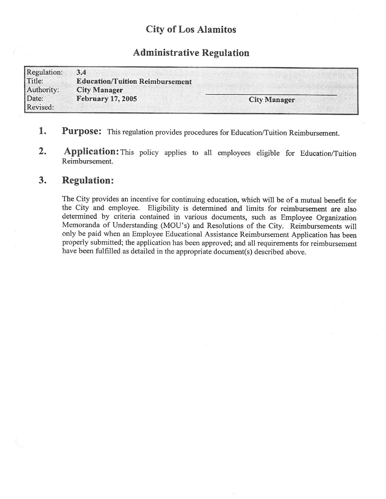## City of Los Alamitos

## Administrative Regulation

| Regulation:       | 3.4                                    |                     |
|-------------------|----------------------------------------|---------------------|
| Title:            | <b>Education/Tuition Reimbursement</b> |                     |
| Authority:        | <b>City Manager</b>                    |                     |
| Date:<br>Revised: | <b>February 17, 2005</b>               | <b>City Manager</b> |

- 1. Purpose: This regulation provides procedures for Education/Tuition Reimbursement.
- 2. Application: This policy applies to all employees eligible for Education/Tuition Reimbursement.

## 3. Regulation:

The City provides an incentive for continuing education, which will be of <sup>a</sup> mutual benefit for the City and employee. Eligibility is determined and limits for reimbursement are also determined by criteria contained in various documents, such as Employee Organization Memoranda of Understanding (MOU's) and Resolutions of the City. Reimbursements will only be paid when an Employee Educational Assistance Reimbursement Application has been properly submitted; the application has been approved; and all requirements for reimbursement have been fulfilled as detailed in the appropriate document(s) described above.